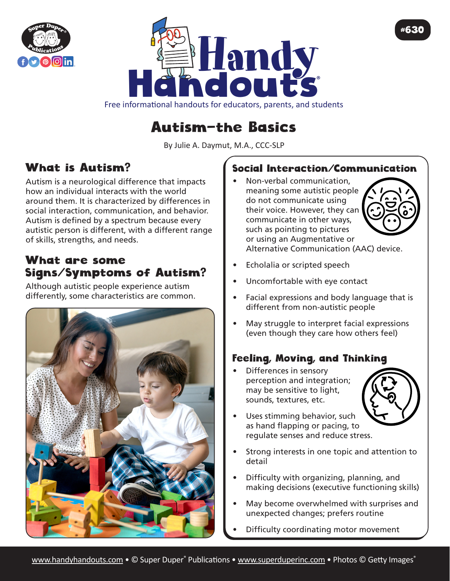



Free informational handouts for educators, parents, and students

# Autism—the Basics

By Julie A. Daymut, M.A., CCC-SLP

## What is Autism?

Autism is a neurological difference that impacts how an individual interacts with the world around them. It is characterized by differences in social interaction, communication, and behavior. Autism is defined by a spectrum because every autistic person is different, with a different range of skills, strengths, and needs.

### What are some Signs/Symptoms of Autism?

Although autistic people experience autism differently, some characteristics are common.



#### Social Interaction/Communication

• Non-verbal communication, meaning some autistic people do not communicate using their voice. However, they can communicate in other ways, such as pointing to pictures or using an Augmentative or Alternative Communication (AAC) device.



#630

Echolalia or scripted speech

- Uncomfortable with eye contact
- Facial expressions and body language that is different from non-autistic people
- May struggle to interpret facial expressions (even though they care how others feel)

#### Feeling, Moving, and Thinking

• Differences in sensory perception and integration; may be sensitive to light, sounds, textures, etc.

![](_page_0_Picture_19.jpeg)

- Uses stimming behavior, such as hand flapping or pacing, to regulate senses and reduce stress.
- Strong interests in one topic and attention to detail
- Difficulty with organizing, planning, and making decisions (executive functioning skills)
- May become overwhelmed with surprises and unexpected changes; prefers routine
- Difficulty coordinating motor movement